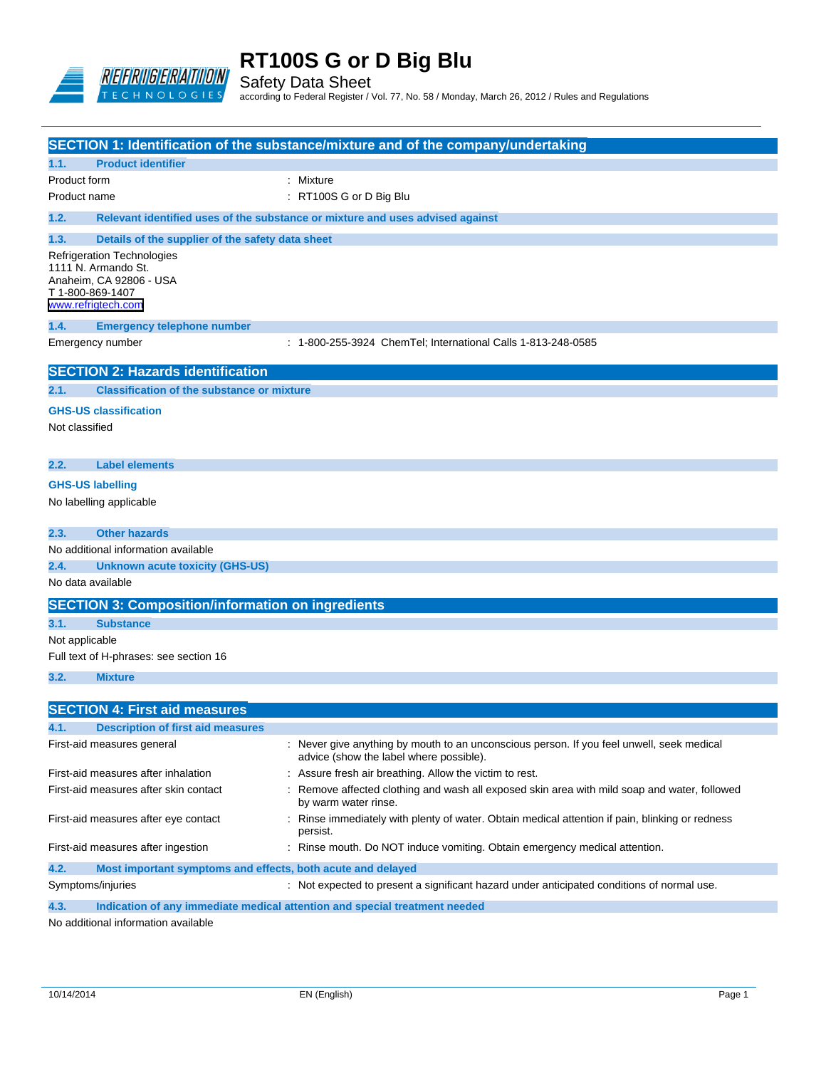

Safety Data Sheet according to Federal Register / Vol. 77, No. 58 / Monday, March 26, 2012 / Rules and Regulations

|                                                               |                                                                                                           | SECTION 1: Identification of the substance/mixture and of the company/undertaking                                                    |
|---------------------------------------------------------------|-----------------------------------------------------------------------------------------------------------|--------------------------------------------------------------------------------------------------------------------------------------|
| 1.1.                                                          | <b>Product identifier</b>                                                                                 |                                                                                                                                      |
| Product form                                                  |                                                                                                           | : Mixture                                                                                                                            |
| Product name                                                  |                                                                                                           | : RT100S G or D Big Blu                                                                                                              |
| 1.2.                                                          |                                                                                                           | Relevant identified uses of the substance or mixture and uses advised against                                                        |
| 1.3.                                                          |                                                                                                           |                                                                                                                                      |
| 1111 N. Armando St.<br>T 1-800-869-1407<br>www.refrigtech.com | Details of the supplier of the safety data sheet<br>Refrigeration Technologies<br>Anaheim, CA 92806 - USA |                                                                                                                                      |
| 1.4.                                                          | <b>Emergency telephone number</b>                                                                         |                                                                                                                                      |
| Emergency number                                              |                                                                                                           | : 1-800-255-3924 ChemTel; International Calls 1-813-248-0585                                                                         |
|                                                               | <b>SECTION 2: Hazards identification</b>                                                                  |                                                                                                                                      |
| 2.1.                                                          | <b>Classification of the substance or mixture</b>                                                         |                                                                                                                                      |
| <b>GHS-US classification</b><br>Not classified                |                                                                                                           |                                                                                                                                      |
| 2.2.                                                          | <b>Label elements</b>                                                                                     |                                                                                                                                      |
| <b>GHS-US labelling</b>                                       |                                                                                                           |                                                                                                                                      |
| No labelling applicable                                       |                                                                                                           |                                                                                                                                      |
| 2.3.                                                          | <b>Other hazards</b>                                                                                      |                                                                                                                                      |
|                                                               | No additional information available                                                                       |                                                                                                                                      |
| 2.4.                                                          | <b>Unknown acute toxicity (GHS-US)</b>                                                                    |                                                                                                                                      |
| No data available                                             |                                                                                                           |                                                                                                                                      |
|                                                               | <b>SECTION 3: Composition/information on ingredients</b>                                                  |                                                                                                                                      |
| 3.1.                                                          | <b>Substance</b>                                                                                          |                                                                                                                                      |
| Not applicable                                                |                                                                                                           |                                                                                                                                      |
|                                                               | Full text of H-phrases: see section 16                                                                    |                                                                                                                                      |
| 3.2.                                                          | <b>Mixture</b>                                                                                            |                                                                                                                                      |
|                                                               |                                                                                                           |                                                                                                                                      |
|                                                               | <b>SECTION 4: First aid measures</b>                                                                      |                                                                                                                                      |
| 4.1.                                                          | <b>Description of first aid measures</b>                                                                  |                                                                                                                                      |
|                                                               | First-aid measures general                                                                                | : Never give anything by mouth to an unconscious person. If you feel unwell, seek medical<br>advice (show the label where possible). |
|                                                               | First-aid measures after inhalation                                                                       | : Assure fresh air breathing. Allow the victim to rest.                                                                              |
|                                                               | First-aid measures after skin contact                                                                     | Remove affected clothing and wash all exposed skin area with mild soap and water, followed<br>by warm water rinse.                   |
|                                                               | First-aid measures after eye contact                                                                      | : Rinse immediately with plenty of water. Obtain medical attention if pain, blinking or redness<br>persist.                          |
|                                                               | First-aid measures after ingestion                                                                        | : Rinse mouth. Do NOT induce vomiting. Obtain emergency medical attention.                                                           |
| 4.2.                                                          | Most important symptoms and effects, both acute and delayed                                               |                                                                                                                                      |
| Symptoms/injuries                                             |                                                                                                           | : Not expected to present a significant hazard under anticipated conditions of normal use.                                           |

**4.3. Indication of any immediate medical attention and special treatment needed**

No additional information available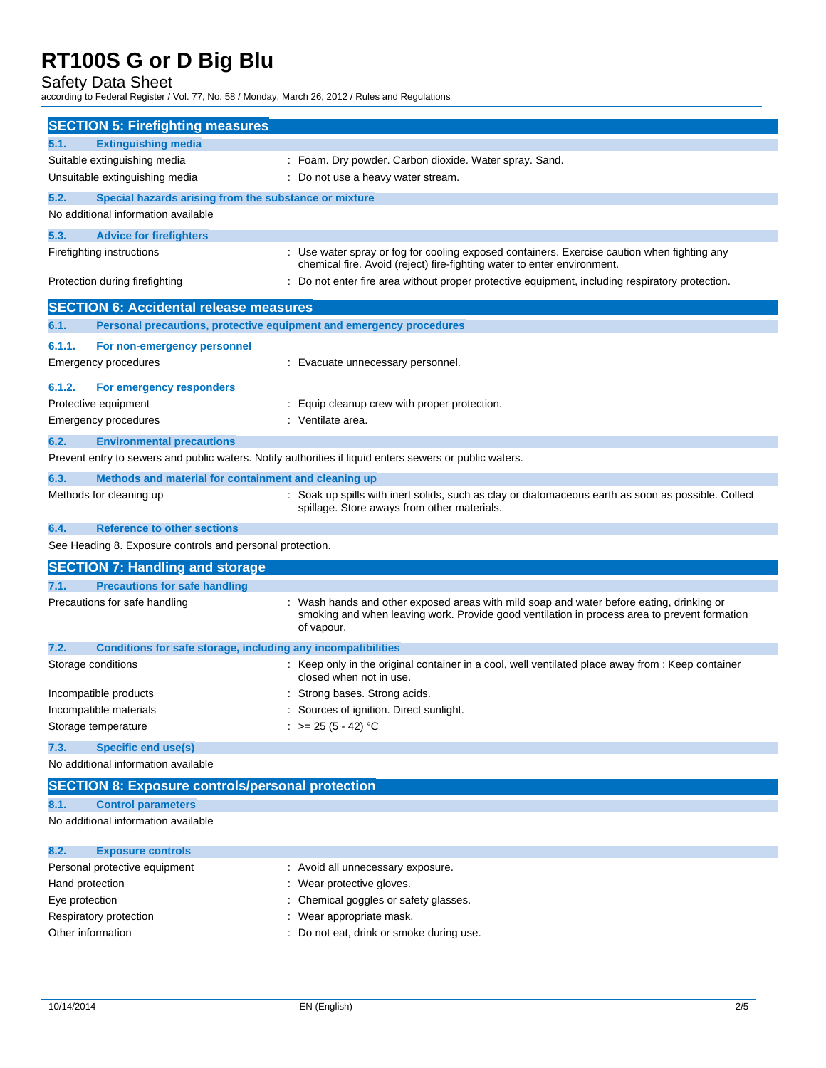Safety Data Sheet according to Federal Register / Vol. 77, No. 58 / Monday, March 26, 2012 / Rules and Regulations

| <b>SECTION 5: Firefighting measures</b>                                                                 |                                                                                                     |
|---------------------------------------------------------------------------------------------------------|-----------------------------------------------------------------------------------------------------|
| <b>Extinguishing media</b><br>5.1.                                                                      |                                                                                                     |
| Suitable extinguishing media                                                                            | : Foam. Dry powder. Carbon dioxide. Water spray. Sand.                                              |
| Unsuitable extinguishing media                                                                          | : Do not use a heavy water stream.                                                                  |
| 5.2.<br>Special hazards arising from the substance or mixture                                           |                                                                                                     |
| No additional information available                                                                     |                                                                                                     |
| 5.3.<br><b>Advice for firefighters</b>                                                                  |                                                                                                     |
| Firefighting instructions                                                                               | : Use water spray or fog for cooling exposed containers. Exercise caution when fighting any         |
|                                                                                                         | chemical fire. Avoid (reject) fire-fighting water to enter environment.                             |
| Protection during firefighting                                                                          | : Do not enter fire area without proper protective equipment, including respiratory protection.     |
| <b>SECTION 6: Accidental release measures</b>                                                           |                                                                                                     |
| 6.1.<br>Personal precautions, protective equipment and emergency procedures                             |                                                                                                     |
| 6.1.1.                                                                                                  |                                                                                                     |
| For non-emergency personnel                                                                             |                                                                                                     |
| Emergency procedures                                                                                    | : Evacuate unnecessary personnel.                                                                   |
| 6.1.2.<br>For emergency responders                                                                      |                                                                                                     |
| Protective equipment                                                                                    | : Equip cleanup crew with proper protection.                                                        |
| <b>Emergency procedures</b>                                                                             | : Ventilate area.                                                                                   |
| 6.2.<br><b>Environmental precautions</b>                                                                |                                                                                                     |
| Prevent entry to sewers and public waters. Notify authorities if liquid enters sewers or public waters. |                                                                                                     |
| 6.3.<br>Methods and material for containment and cleaning up                                            |                                                                                                     |
| Methods for cleaning up                                                                                 | : Soak up spills with inert solids, such as clay or diatomaceous earth as soon as possible. Collect |
|                                                                                                         | spillage. Store aways from other materials.                                                         |
| 6.4.<br><b>Reference to other sections</b>                                                              |                                                                                                     |
| See Heading 8. Exposure controls and personal protection.                                               |                                                                                                     |
| <b>SECTION 7: Handling and storage</b>                                                                  |                                                                                                     |
| <b>Precautions for safe handling</b><br>7.1.                                                            |                                                                                                     |
| Precautions for safe handling                                                                           | Wash hands and other exposed areas with mild soap and water before eating, drinking or              |
|                                                                                                         | smoking and when leaving work. Provide good ventilation in process area to prevent formation        |
|                                                                                                         | of vapour.                                                                                          |
| 7.2.<br>Conditions for safe storage, including any incompatibilities                                    |                                                                                                     |
| Storage conditions                                                                                      | : Keep only in the original container in a cool, well ventilated place away from : Keep container   |
|                                                                                                         | closed when not in use.                                                                             |
| Incompatible products                                                                                   | Strong bases. Strong acids.                                                                         |
| Incompatible materials                                                                                  | Sources of ignition. Direct sunlight.                                                               |
| Storage temperature                                                                                     | : $> = 25 (5 - 42) °C$                                                                              |
| 7.3.<br><b>Specific end use(s)</b>                                                                      |                                                                                                     |
| No additional information available                                                                     |                                                                                                     |
| <b>SECTION 8: Exposure controls/personal protection</b>                                                 |                                                                                                     |
| 8.1.<br><b>Control parameters</b>                                                                       |                                                                                                     |
| No additional information available                                                                     |                                                                                                     |
|                                                                                                         |                                                                                                     |
| <b>Exposure controls</b><br>8.2.                                                                        |                                                                                                     |
| Personal protective equipment                                                                           | : Avoid all unnecessary exposure.                                                                   |
| Hand protection                                                                                         | : Wear protective gloves.                                                                           |
| Eye protection                                                                                          | : Chemical goggles or safety glasses.                                                               |

- Respiratory protection **in the set of the COV** wear appropriate mask.
- Other information : Do not eat, drink or smoke during use.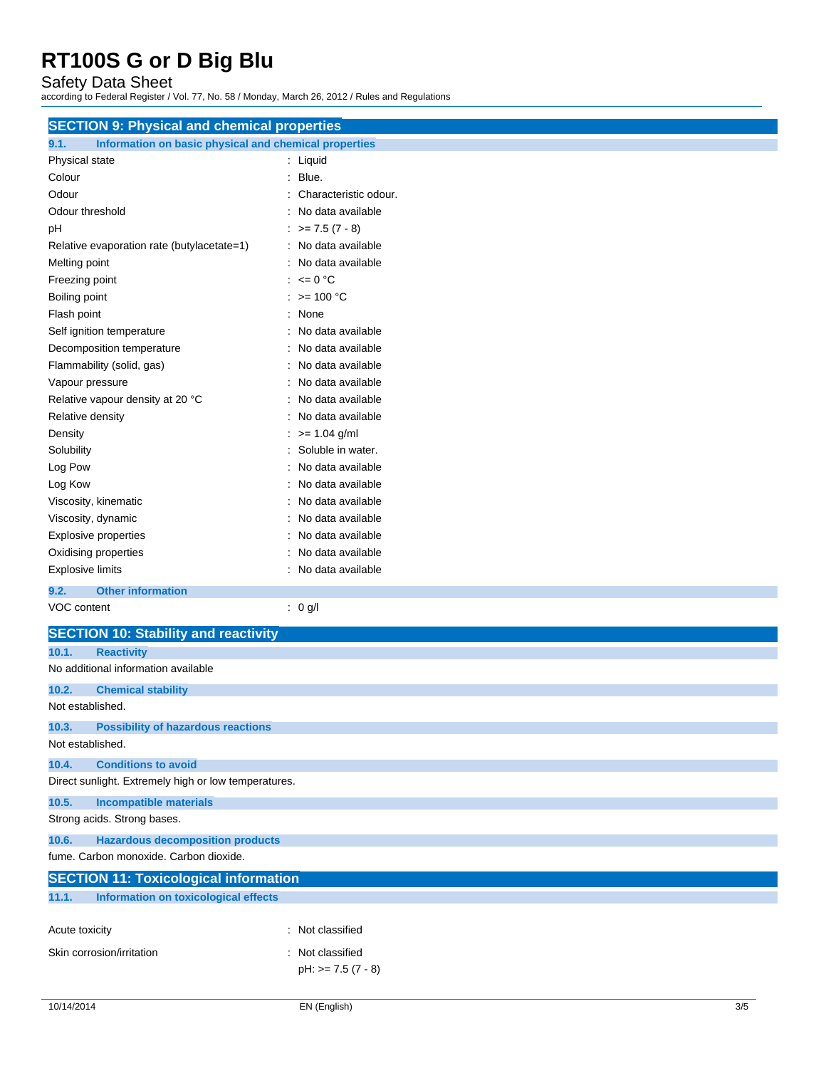Safety Data Sheet according to Federal Register / Vol. 77, No. 58 / Monday, March 26, 2012 / Rules and Regulations

| <b>SECTION 9: Physical and chemical properties</b>            |                             |
|---------------------------------------------------------------|-----------------------------|
| 9.1.<br>Information on basic physical and chemical properties |                             |
| Physical state                                                | : Liquid                    |
| Colour                                                        | $:$ Blue.                   |
| Odour                                                         | Characteristic odour.       |
| Odour threshold                                               | : No data available         |
| pH                                                            | $\therefore$ >= 7.5 (7 - 8) |
| Relative evaporation rate (butylacetate=1)                    | : No data available         |
| Melting point                                                 | : No data available         |
| Freezing point                                                | : $\leq 0$ °C               |
| Boiling point                                                 | : $> = 100 °C$              |
| Flash point                                                   | : None                      |
| Self ignition temperature                                     | : No data available         |
| Decomposition temperature                                     | : No data available         |
| Flammability (solid, gas)                                     | : No data available         |
| Vapour pressure                                               | : No data available         |
| Relative vapour density at 20 °C                              | : No data available         |
| Relative density                                              | : No data available         |
| Density                                                       | $:$ >= 1.04 g/ml            |
| Solubility                                                    | : Soluble in water.         |
| Log Pow                                                       | No data available           |
| Log Kow                                                       | No data available           |
| Viscosity, kinematic                                          | : No data available         |
| Viscosity, dynamic                                            | : No data available         |
| <b>Explosive properties</b>                                   | : No data available         |
| Oxidising properties                                          | : No data available         |
| <b>Explosive limits</b>                                       | : No data available         |
| 9.2.<br><b>Other information</b>                              |                             |
| VOC content                                                   | : 0 g/l                     |
| <b>SECTION 10: Stability and reactivity</b>                   |                             |
| 10.1.<br><b>Reactivity</b>                                    |                             |
| No additional information available                           |                             |
| 10.2.<br><b>Chemical stability</b>                            |                             |
| Not established.                                              |                             |
| <b>Possibility of hazardous reactions</b><br>10.3.            |                             |
| Not established.                                              |                             |
| <b>Conditions to avoid</b><br>10.4.                           |                             |
| Direct sunlight. Extremely high or low temperatures.          |                             |
| 10.5.<br><b>Incompatible materials</b>                        |                             |
| Strong acids. Strong bases.                                   |                             |
| 10.6.<br><b>Hazardous decomposition products</b>              |                             |
| fume. Carbon monoxide. Carbon dioxide.                        |                             |
| <b>SECTION 11: Toxicological information</b>                  |                             |
| Information on toxicological effects<br>11.1.                 |                             |
|                                                               |                             |
| Acute toxicity                                                | : Not classified            |
| Skin corrosion/irritation                                     | : Not classified            |
|                                                               | $pH: z = 7.5 (7 - 8)$       |
|                                                               |                             |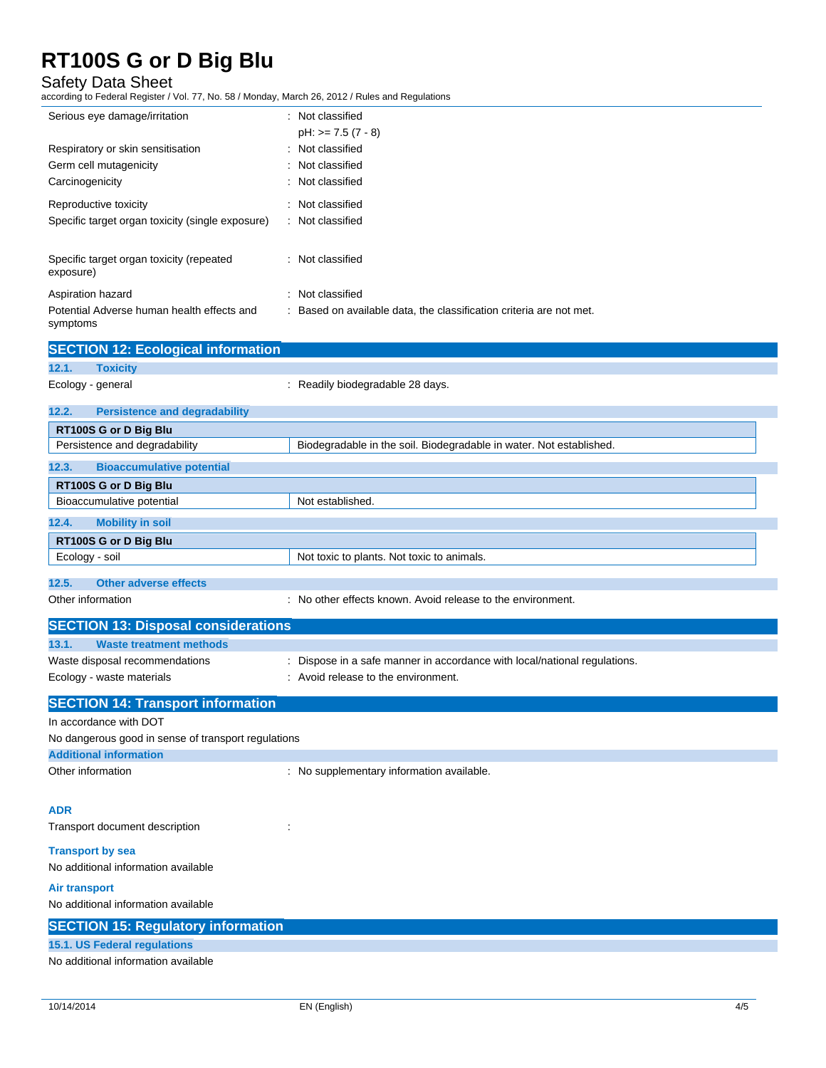Safety Data Sheet according to Federal Register / Vol. 77, No. 58 / Monday, March 26, 2012 / Rules and Regulations

| Serious eye damage/irritation                    | : Not classified                                                    |
|--------------------------------------------------|---------------------------------------------------------------------|
|                                                  | $pH: z = 7.5 (7 - 8)$                                               |
| Respiratory or skin sensitisation                | : Not classified                                                    |
| Germ cell mutagenicity                           | : Not classified                                                    |
| Carcinogenicity                                  | : Not classified                                                    |
| Reproductive toxicity                            | : Not classified                                                    |
| Specific target organ toxicity (single exposure) | : Not classified                                                    |
|                                                  |                                                                     |
| Specific target organ toxicity (repeated         | : Not classified                                                    |
| exposure)                                        |                                                                     |
| Aspiration hazard                                | : Not classified                                                    |
| Potential Adverse human health effects and       | : Based on available data, the classification criteria are not met. |
| symptoms                                         |                                                                     |

|                   | <b>SECTION 12: Ecological information</b> |                                                                     |
|-------------------|-------------------------------------------|---------------------------------------------------------------------|
| 12.1.             | <b>Toxicity</b>                           |                                                                     |
| Ecology - general |                                           | : Readily biodegradable 28 days.                                    |
| 12.2.             | <b>Persistence and degradability</b>      |                                                                     |
|                   | RT100S G or D Big Blu                     |                                                                     |
|                   | Persistence and degradability             | Biodegradable in the soil. Biodegradable in water. Not established. |
| 12.3.             | <b>Bioaccumulative potential</b>          |                                                                     |
|                   | RT100S G or D Big Blu                     |                                                                     |
|                   | Bioaccumulative potential                 | Not established.                                                    |
| 12.4.             | <b>Mobility in soil</b>                   |                                                                     |
|                   | RT100S G or D Big Blu                     |                                                                     |
| Ecology - soil    |                                           | Not toxic to plants. Not toxic to animals.                          |
|                   |                                           |                                                                     |
| 12.5.             | <b>Other adverse effects</b>              |                                                                     |

Other information **contains the environment.** : No other effects known. Avoid release to the environment.

| <b>SECTION 13: Disposal considerations</b>                  |                                                                                                                  |
|-------------------------------------------------------------|------------------------------------------------------------------------------------------------------------------|
| 13.1.<br>Waste treatment methods                            |                                                                                                                  |
| Waste disposal recommendations<br>Ecology - waste materials | : Dispose in a safe manner in accordance with local/national regulations.<br>: Avoid release to the environment. |
| <b>SECTION 14: Transport information</b>                    |                                                                                                                  |
| In accordance with DOT                                      |                                                                                                                  |

| No dangerous good in sense of transport regulations |                                           |
|-----------------------------------------------------|-------------------------------------------|
| <b>Additional information</b>                       |                                           |
| Other information                                   | : No supplementary information available. |

## **ADR**

Transport document description :  $\cdot$  :

### **Transport by sea**

No additional information available

## **Air transport**

No additional information available

## **SECTION 15: Regulatory information**

## **15.1. US Federal regulations**

No additional information available